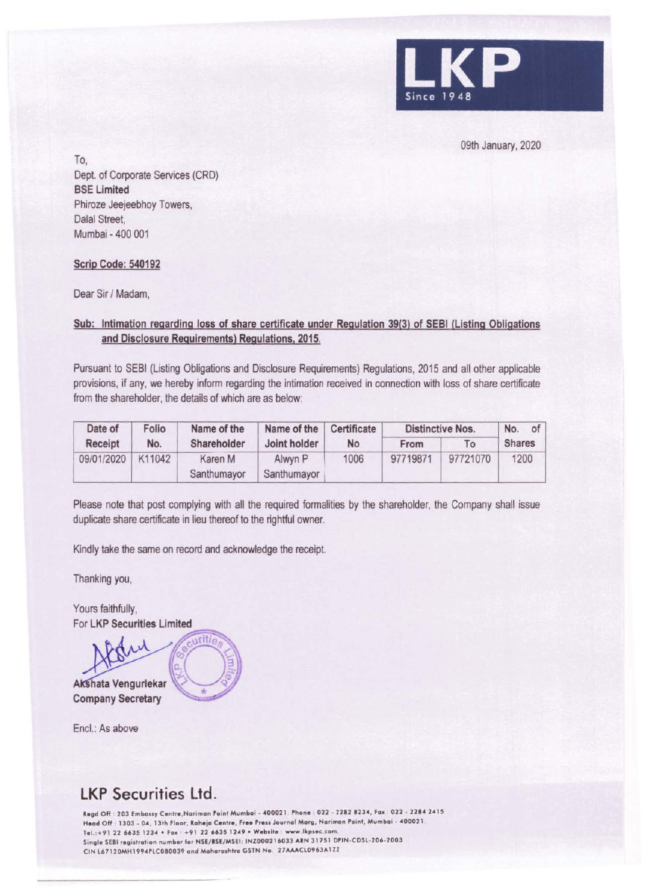

09th January, 2020

To,

Dept. of Corporate Services (CRD} **BSE Limited**  Phiroze Jeejeebhoy Towers, Dalal Street. Mumbai - 400 001

## **Scrip Code: 540192**

Dear Sir / Madam,

## **Sub: Intimation regarding loss of share certificate under Regulation 39(3) of SEBI (Listing Obligations and Disclosure Requirements) Regulations, 2015.**

Pursuant to SEBI (Listing Obligations and Disclosure Requirements) Regulations, 2015 and all other applicable provisions, if any, we hereby inform regarding the intimation received in connection with loss of share certificate from the shareholder, the details of which are as below:

| Date of    | Folio  | Name of the            | Name of the            | Certificate |          | <b>Distinctive Nos.</b> | of<br>No.     |
|------------|--------|------------------------|------------------------|-------------|----------|-------------------------|---------------|
| Receipt    | No.    | Shareholder            | Joint holder           | No          | From     | To                      | <b>Shares</b> |
| 09/01/2020 | K11042 | Karen M<br>Santhumayor | Alwyn P<br>Santhumayor | 1006        | 97719871 | 97721070                | 1200          |

Please note that post complying with all the required formalities by the shareholder, the Company shall issue duplicate share certificate in lieu thereof to the rightful owner.

Kindly take the same on record and acknowledge the receipt.

Thanking you,

Yours faithfully, For LKP Securities Limited

<sup>~</sup>**A ata Vengurlekar Company Secretary** 

Encl.: As above

## **LKP Securities Ltd.**

Regd Off : 203 Embassy Centre, Nariman Point Mumbai - 400021. Phone : 022 - 2282 8234, Fax : 022 - 2284 2415 Head Off : 1303 - 04, 13th Floor, Raheja Centre, Free Press Journal Marg, Nariman Point, Mumbai - 400021 Tel.: +91 22 6635 1234 • Fax : +91 22 6635 1249 • Website : www.lkpsec.com Single SEBI registration number for NSE/BSE/MSEI: INZ000216033 ARN 31751 DPIN-CDSL-206-2003 CIN L67120MH1994PLC080039 and Maharashtra GSTN No. 27AAACL0963A1ZZ